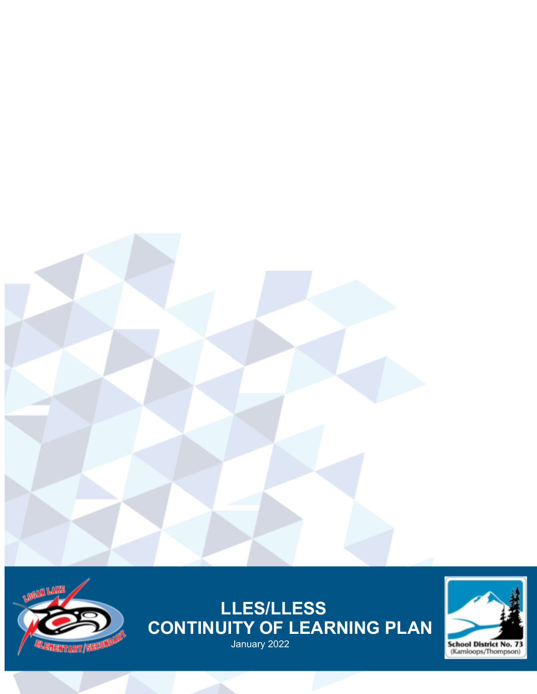



# **LLES/LLESS CONTINUITY OF LEARNING PLAN** January 2022

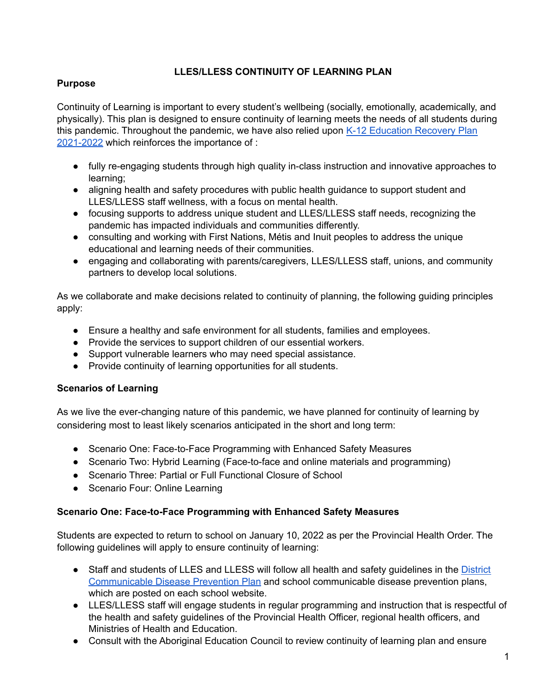### **LLES/LLESS CONTINUITY OF LEARNING PLAN**

#### **Purpose**

Continuity of Learning is important to every student's wellbeing (socially, emotionally, academically, and physically). This plan is designed to ensure continuity of learning meets the needs of all students during this pandemic. Throughout the pandemic, we have also relied upon K-12 [Education](https://www2.gov.bc.ca/assets/gov/education/administration/kindergarten-to-grade-12/safe-caring-orderly/k-12-education-recovery-plan.pdf) Recovery Plan [2021-2022](https://www2.gov.bc.ca/assets/gov/education/administration/kindergarten-to-grade-12/safe-caring-orderly/k-12-education-recovery-plan.pdf) which reinforces the importance of :

- fully re-engaging students through high quality in-class instruction and innovative approaches to learning;
- aligning health and safety procedures with public health guidance to support student and LLES/LLESS staff wellness, with a focus on mental health.
- focusing supports to address unique student and LLES/LLESS staff needs, recognizing the pandemic has impacted individuals and communities differently.
- consulting and working with First Nations, Métis and Inuit peoples to address the unique educational and learning needs of their communities.
- engaging and collaborating with parents/caregivers, LLES/LLESS staff, unions, and community partners to develop local solutions.

As we collaborate and make decisions related to continuity of planning, the following guiding principles apply:

- Ensure a healthy and safe environment for all students, families and employees.
- Provide the services to support children of our essential workers.
- Support vulnerable learners who may need special assistance.
- Provide continuity of learning opportunities for all students.

#### **Scenarios of Learning**

As we live the ever-changing nature of this pandemic, we have planned for continuity of learning by considering most to least likely scenarios anticipated in the short and long term:

- Scenario One: Face-to-Face Programming with Enhanced Safety Measures
- Scenario Two: Hybrid Learning (Face-to-face and online materials and programming)
- Scenario Three: Partial or Full Functional Closure of School
- Scenario Four: Online Learning

#### **Scenario One: Face-to-Face Programming with Enhanced Safety Measures**

Students are expected to return to school on January 10, 2022 as per the Provincial Health Order. The following guidelines will apply to ensure continuity of learning:

- Staff and students of LLES and LLESS will follow all health and safety quidelines in the [District](https://www.sd73.bc.ca/en/community-parents-and-students/resources/CDPP/SD73-CDPP-Safe-and-Healthy-Facilities.pdf) [Communicable](https://www.sd73.bc.ca/en/community-parents-and-students/resources/CDPP/SD73-CDPP-Safe-and-Healthy-Facilities.pdf) Disease Prevention Plan and school communicable disease prevention plans, which are posted on each school website.
- LLES/LLESS staff will engage students in regular programming and instruction that is respectful of the health and safety guidelines of the Provincial Health Officer, regional health officers, and Ministries of Health and Education.
- Consult with the Aboriginal Education Council to review continuity of learning plan and ensure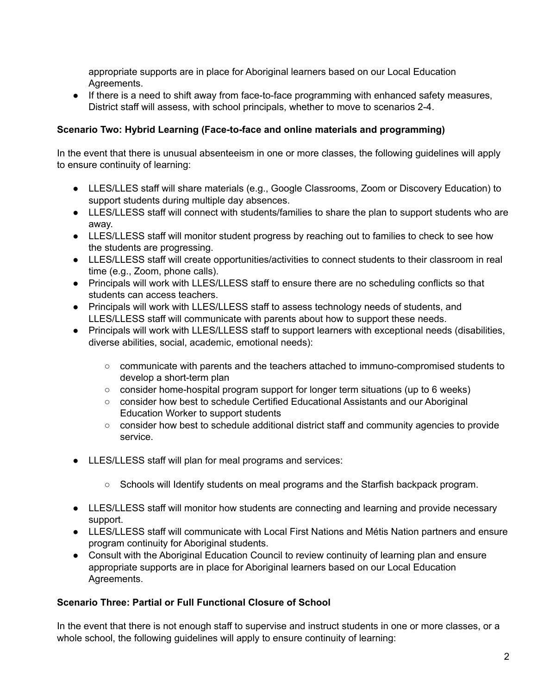appropriate supports are in place for Aboriginal learners based on our Local Education Agreements.

• If there is a need to shift away from face-to-face programming with enhanced safety measures, District staff will assess, with school principals, whether to move to scenarios 2-4.

#### **Scenario Two: Hybrid Learning (Face-to-face and online materials and programming)**

In the event that there is unusual absenteeism in one or more classes, the following guidelines will apply to ensure continuity of learning:

- LLES/LLES staff will share materials (e.g., Google Classrooms, Zoom or Discovery Education) to support students during multiple day absences.
- LLES/LLESS staff will connect with students/families to share the plan to support students who are away.
- LLES/LLESS staff will monitor student progress by reaching out to families to check to see how the students are progressing.
- LLES/LLESS staff will create opportunities/activities to connect students to their classroom in real time (e.g., Zoom, phone calls).
- Principals will work with LLES/LLESS staff to ensure there are no scheduling conflicts so that students can access teachers.
- Principals will work with LLES/LLESS staff to assess technology needs of students, and LLES/LLESS staff will communicate with parents about how to support these needs.
- Principals will work with LLES/LLESS staff to support learners with exceptional needs (disabilities, diverse abilities, social, academic, emotional needs):
	- communicate with parents and the teachers attached to immuno-compromised students to develop a short-term plan
	- consider home-hospital program support for longer term situations (up to 6 weeks)
	- consider how best to schedule Certified Educational Assistants and our Aboriginal Education Worker to support students
	- consider how best to schedule additional district staff and community agencies to provide service.
- LLES/LLESS staff will plan for meal programs and services:
	- Schools will Identify students on meal programs and the Starfish backpack program.
- LLES/LLESS staff will monitor how students are connecting and learning and provide necessary support.
- LLES/LLESS staff will communicate with Local First Nations and Métis Nation partners and ensure program continuity for Aboriginal students.
- Consult with the Aboriginal Education Council to review continuity of learning plan and ensure appropriate supports are in place for Aboriginal learners based on our Local Education Agreements.

#### **Scenario Three: Partial or Full Functional Closure of School**

In the event that there is not enough staff to supervise and instruct students in one or more classes, or a whole school, the following guidelines will apply to ensure continuity of learning: